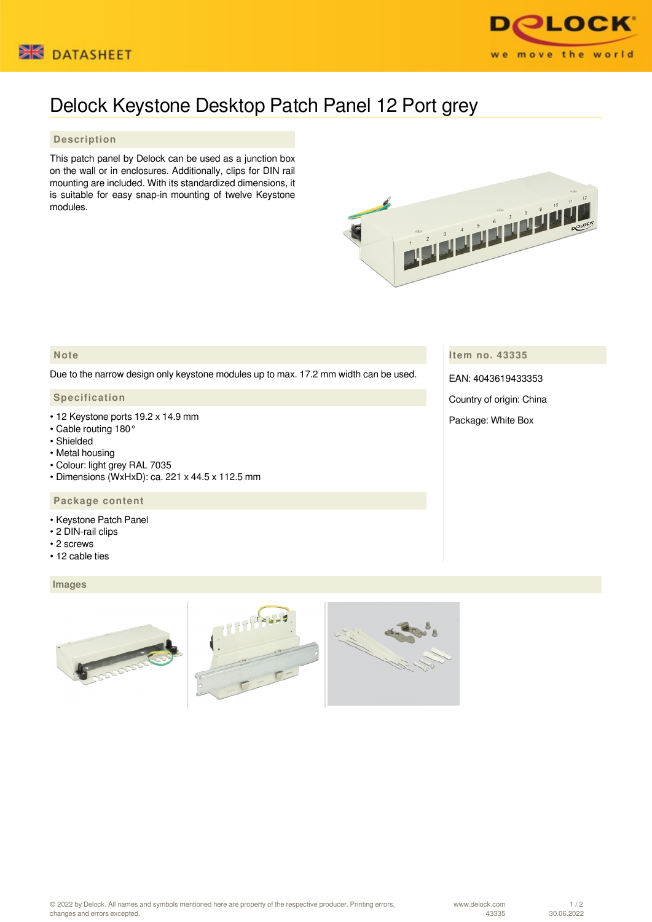



# Delock Keystone Desktop Patch Panel 12 Port grey

### **Description**

This patch panel by Delock can be used as a junction box on the wall or in enclosures. Additionally, clips for DIN rail mounting are included. With its standardized dimensions, it is suitable for easy snap-in mounting of twelve Keystone modules.



## **Note**

Due to the narrow design only keystone modules up to max. 17.2 mm width can be used.

#### **Specification**

- 12 Keystone ports 19.2 x 14.9 mm
- Cable routing 180°
- Shielded
- Metal housing
- Colour: light grey RAL 7035
- Dimensions (WxHxD): ca. 221 x 44.5 x 112.5 mm

#### **Package content**

- Keystone Patch Panel
- 2 DIN-rail clips
- 2 screws
- 12 cable ties

#### **Images**



**Item no. 43335**

EAN: 4043619433353

Country of origin: China

Package: White Box